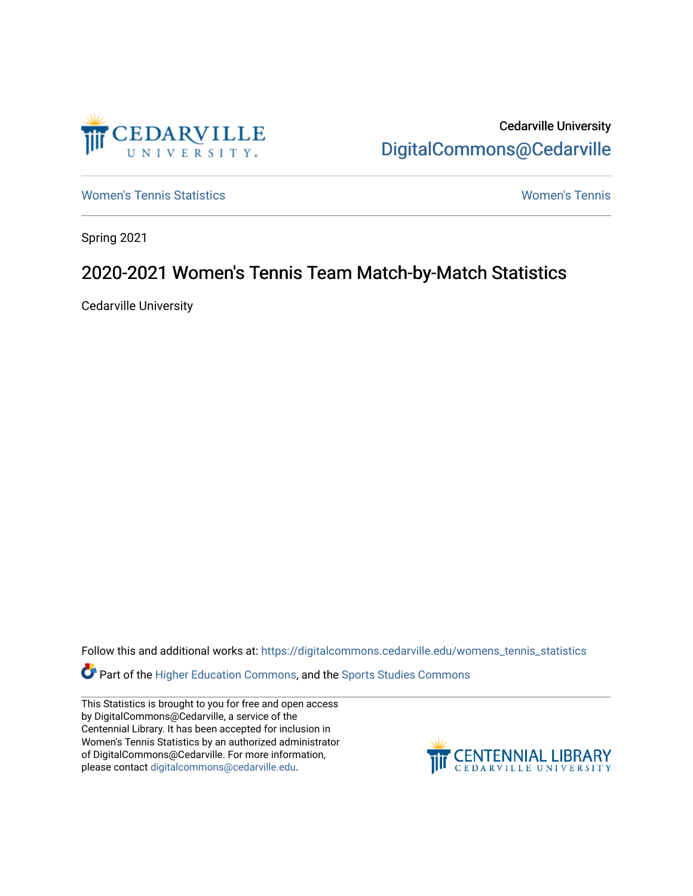

Cedarville University [DigitalCommons@Cedarville](https://digitalcommons.cedarville.edu/) 

[Women's Tennis Statistics](https://digitalcommons.cedarville.edu/womens_tennis_statistics) [Women's Tennis](https://digitalcommons.cedarville.edu/womens_tennis) 

Spring 2021

## 2020-2021 Women's Tennis Team Match-by-Match Statistics

Cedarville University

Follow this and additional works at: [https://digitalcommons.cedarville.edu/womens\\_tennis\\_statistics](https://digitalcommons.cedarville.edu/womens_tennis_statistics?utm_source=digitalcommons.cedarville.edu%2Fwomens_tennis_statistics%2F259&utm_medium=PDF&utm_campaign=PDFCoverPages) 

Part of the [Higher Education Commons,](http://network.bepress.com/hgg/discipline/1245?utm_source=digitalcommons.cedarville.edu%2Fwomens_tennis_statistics%2F259&utm_medium=PDF&utm_campaign=PDFCoverPages) and the [Sports Studies Commons](http://network.bepress.com/hgg/discipline/1198?utm_source=digitalcommons.cedarville.edu%2Fwomens_tennis_statistics%2F259&utm_medium=PDF&utm_campaign=PDFCoverPages) 

This Statistics is brought to you for free and open access by DigitalCommons@Cedarville, a service of the Centennial Library. It has been accepted for inclusion in Women's Tennis Statistics by an authorized administrator of DigitalCommons@Cedarville. For more information, please contact [digitalcommons@cedarville.edu](mailto:digitalcommons@cedarville.edu).